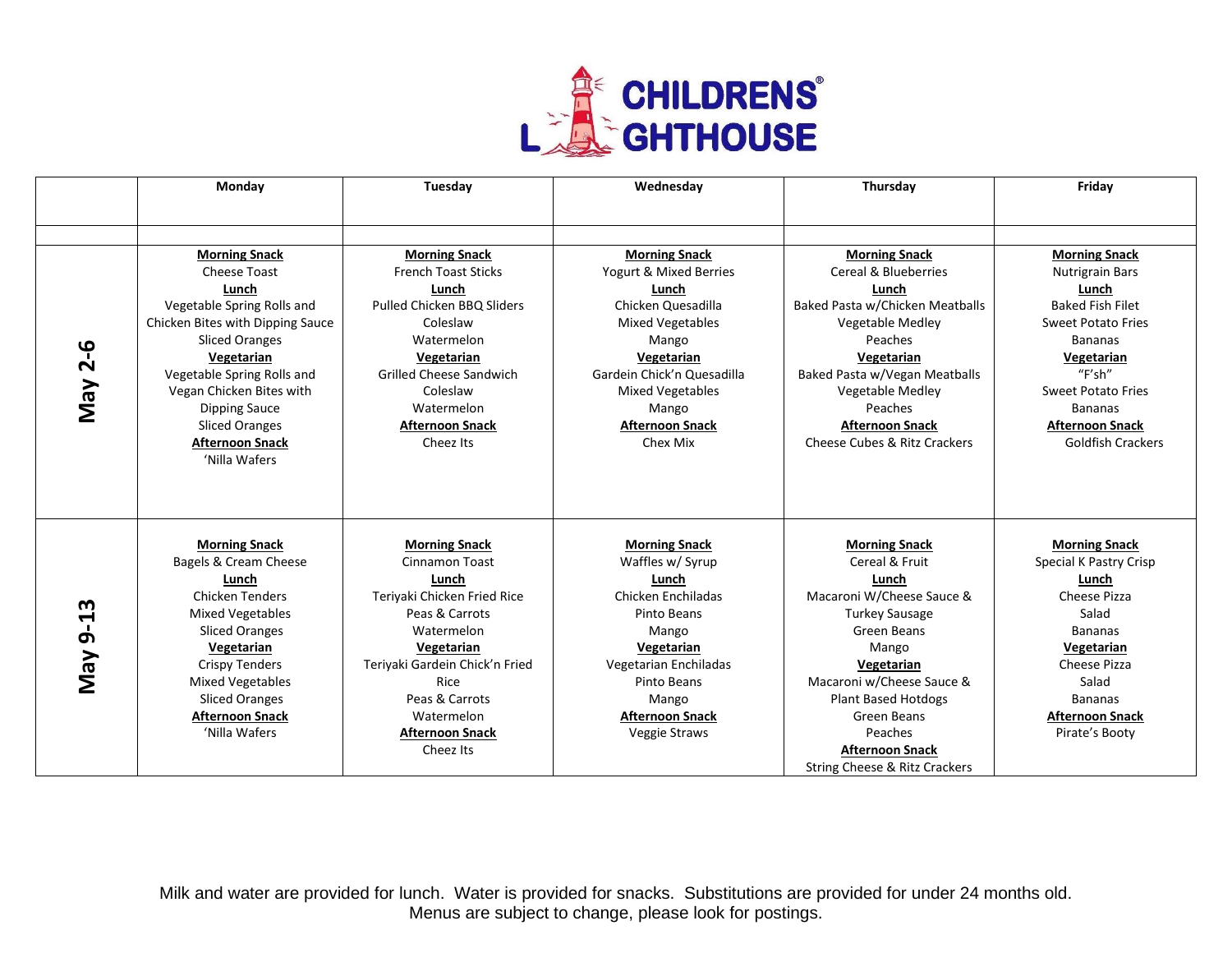

|                            | Monday                                                                                                                                                                                                                                                                                                       | Tuesday                                                                                                                                                                                                                                              | Wednesday                                                                                                                                                                                                                               | Thursday                                                                                                                                                                                                                                                                                           | Friday                                                                                                                                                                                                                                                  |
|----------------------------|--------------------------------------------------------------------------------------------------------------------------------------------------------------------------------------------------------------------------------------------------------------------------------------------------------------|------------------------------------------------------------------------------------------------------------------------------------------------------------------------------------------------------------------------------------------------------|-----------------------------------------------------------------------------------------------------------------------------------------------------------------------------------------------------------------------------------------|----------------------------------------------------------------------------------------------------------------------------------------------------------------------------------------------------------------------------------------------------------------------------------------------------|---------------------------------------------------------------------------------------------------------------------------------------------------------------------------------------------------------------------------------------------------------|
|                            |                                                                                                                                                                                                                                                                                                              |                                                                                                                                                                                                                                                      |                                                                                                                                                                                                                                         |                                                                                                                                                                                                                                                                                                    |                                                                                                                                                                                                                                                         |
|                            |                                                                                                                                                                                                                                                                                                              |                                                                                                                                                                                                                                                      |                                                                                                                                                                                                                                         |                                                                                                                                                                                                                                                                                                    |                                                                                                                                                                                                                                                         |
| $2 - 6$<br>Vay             | <b>Morning Snack</b><br>Cheese Toast<br>Lunch<br>Vegetable Spring Rolls and<br>Chicken Bites with Dipping Sauce<br><b>Sliced Oranges</b><br>Vegetarian<br>Vegetable Spring Rolls and<br>Vegan Chicken Bites with<br><b>Dipping Sauce</b><br><b>Sliced Oranges</b><br><b>Afternoon Snack</b><br>'Nilla Wafers | <b>Morning Snack</b><br><b>French Toast Sticks</b><br>Lunch<br>Pulled Chicken BBQ Sliders<br>Coleslaw<br>Watermelon<br>Vegetarian<br><b>Grilled Cheese Sandwich</b><br>Coleslaw<br>Watermelon<br><b>Afternoon Snack</b><br>Cheez Its                 | <b>Morning Snack</b><br>Yogurt & Mixed Berries<br>Lunch<br>Chicken Quesadilla<br><b>Mixed Vegetables</b><br>Mango<br>Vegetarian<br>Gardein Chick'n Quesadilla<br><b>Mixed Vegetables</b><br>Mango<br><b>Afternoon Snack</b><br>Chex Mix | <b>Morning Snack</b><br>Cereal & Blueberries<br>Lunch<br>Baked Pasta w/Chicken Meatballs<br>Vegetable Medley<br>Peaches<br>Vegetarian<br>Baked Pasta w/Vegan Meatballs<br>Vegetable Medley<br>Peaches<br><b>Afternoon Snack</b><br>Cheese Cubes & Ritz Crackers                                    | <b>Morning Snack</b><br><b>Nutrigrain Bars</b><br>Lunch<br><b>Baked Fish Filet</b><br><b>Sweet Potato Fries</b><br><b>Bananas</b><br>Vegetarian<br>"F'sh"<br><b>Sweet Potato Fries</b><br>Bananas<br><b>Afternoon Snack</b><br><b>Goldfish Crackers</b> |
| m<br>$\overline{5}$<br>VeM | <b>Morning Snack</b><br>Bagels & Cream Cheese<br>Lunch<br><b>Chicken Tenders</b><br><b>Mixed Vegetables</b><br><b>Sliced Oranges</b><br>Vegetarian<br><b>Crispy Tenders</b><br><b>Mixed Vegetables</b><br><b>Sliced Oranges</b><br><b>Afternoon Snack</b><br>'Nilla Wafers                                   | <b>Morning Snack</b><br><b>Cinnamon Toast</b><br>Lunch<br>Teriyaki Chicken Fried Rice<br>Peas & Carrots<br>Watermelon<br>Vegetarian<br>Teriyaki Gardein Chick'n Fried<br>Rice<br>Peas & Carrots<br>Watermelon<br><b>Afternoon Snack</b><br>Cheez Its | <b>Morning Snack</b><br>Waffles w/ Syrup<br>Lunch<br>Chicken Enchiladas<br>Pinto Beans<br>Mango<br>Vegetarian<br>Vegetarian Enchiladas<br>Pinto Beans<br>Mango<br><b>Afternoon Snack</b><br>Veggie Straws                               | <b>Morning Snack</b><br>Cereal & Fruit<br>Lunch<br>Macaroni W/Cheese Sauce &<br><b>Turkey Sausage</b><br>Green Beans<br>Mango<br>Vegetarian<br>Macaroni w/Cheese Sauce &<br><b>Plant Based Hotdogs</b><br><b>Green Beans</b><br>Peaches<br><b>Afternoon Snack</b><br>String Cheese & Ritz Crackers | <b>Morning Snack</b><br>Special K Pastry Crisp<br>Lunch<br>Cheese Pizza<br>Salad<br><b>Bananas</b><br>Vegetarian<br>Cheese Pizza<br>Salad<br><b>Bananas</b><br><b>Afternoon Snack</b><br>Pirate's Booty                                                 |

Milk and water are provided for lunch. Water is provided for snacks. Substitutions are provided for under 24 months old. Menus are subject to change, please look for postings.